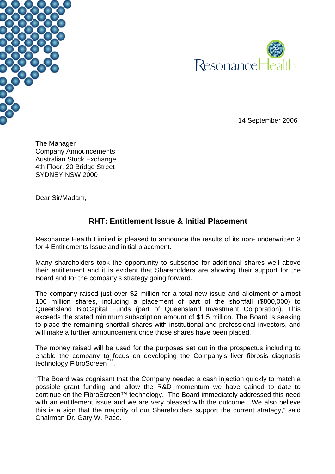



14 September 2006

The Manager Company Announcements Australian Stock Exchange 4th Floor, 20 Bridge Street SYDNEY NSW 2000

Dear Sir/Madam,

## **RHT: Entitlement Issue & Initial Placement**

Resonance Health Limited is pleased to announce the results of its non- underwritten 3 for 4 Entitlements Issue and initial placement.

Many shareholders took the opportunity to subscribe for additional shares well above their entitlement and it is evident that Shareholders are showing their support for the Board and for the company's strategy going forward.

The company raised just over \$2 million for a total new issue and allotment of almost 106 million shares, including a placement of part of the shortfall (\$800,000) to Queensland BioCapital Funds (part of Queensland Investment Corporation). This exceeds the stated minimum subscription amount of \$1.5 million. The Board is seeking to place the remaining shortfall shares with institutional and professional investors, and will make a further announcement once those shares have been placed.

The money raised will be used for the purposes set out in the prospectus including to enable the company to focus on developing the Company's liver fibrosis diagnosis technology FibroScreen<sup>™</sup>.

"The Board was cognisant that the Company needed a cash injection quickly to match a possible grant funding and allow the R&D momentum we have gained to date to continue on the FibroScreen™ technology. The Board immediately addressed this need with an entitlement issue and we are very pleased with the outcome. We also believe this is a sign that the majority of our Shareholders support the current strategy," said Chairman Dr. Gary W. Pace.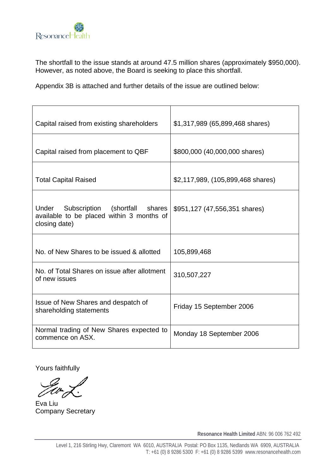

The shortfall to the issue stands at around 47.5 million shares (approximately \$950,000). However, as noted above, the Board is seeking to place this shortfall.

Appendix 3B is attached and further details of the issue are outlined below:

| Capital raised from existing shareholders                                                          | \$1,317,989 (65,899,468 shares)   |
|----------------------------------------------------------------------------------------------------|-----------------------------------|
| Capital raised from placement to QBF                                                               | \$800,000 (40,000,000 shares)     |
| <b>Total Capital Raised</b>                                                                        | \$2,117,989, (105,899,468 shares) |
| Under Subscription (shortfall shares<br>available to be placed within 3 months of<br>closing date) | \$951,127 (47,556,351 shares)     |
| No. of New Shares to be issued & allotted                                                          | 105,899,468                       |
| No. of Total Shares on issue after allotment<br>of new issues                                      | 310,507,227                       |
| Issue of New Shares and despatch of<br>shareholding statements                                     | Friday 15 September 2006          |
| Normal trading of New Shares expected to<br>commence on ASX.                                       | Monday 18 September 2006          |

Yours faithfully

Eva Liu Company Secretary

**Resonance Health Limited** ABN: 96 006 762 492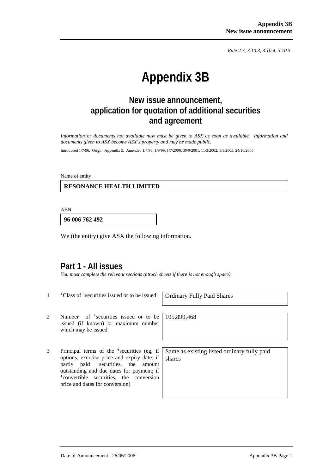*Rule 2.7, 3.10.3, 3.10.4, 3.10.5*

# **Appendix 3B**

## **New issue announcement, application for quotation of additional securities and agreement**

*Information or documents not available now must be given to ASX as soon as available. Information and documents given to ASX become ASX's property and may be made public.* 

Introduced 1/7/96. Origin: Appendix 5. Amended 1/7/98, 1/9/99, 1/7/2000, 30/9/2001, 11/3/2002, 1/1/2003, 24/10/2005.

Name of entity

 **RESONANCE HEALTH LIMITED** 

ABN

**96 006 762 492**

We (the entity) give ASX the following information.

## **Part 1 - All issues**

*You must complete the relevant sections (attach sheets if there is not enough space).* 

<sup>+</sup>Class of <sup>+</sup>securities issued or to be issued | Ordinary Fully Paid Shares

105,899,468

- 2 Number of <sup>+</sup>securities issued or to be issued (if known) or maximum number which may be issued
- 3 Principal terms of the +securities (eg, if options, exercise price and expiry date; if partly paid <sup>+</sup>securities, the amount outstanding and due dates for payment; if <sup>+</sup>convertible securities, the conversion price and dates for conversion)

Same as existing listed ordinary fully paid shares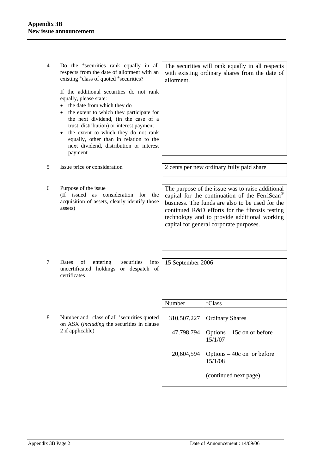4 Do the +securities rank equally in all respects from the date of allotment with an existing <sup>+</sup>class of quoted <sup>+</sup>securities?

> If the additional securities do not rank equally, please state:

- the date from which they do
- the extent to which they participate for the next dividend, (in the case of a trust, distribution) or interest payment
- the extent to which they do not rank equally, other than in relation to the next dividend, distribution or interest payment

5 Issue price or consideration 2 cents per new ordinary fully paid share

- 
- 6 Purpose of the issue (If issued as consideration for the acquisition of assets, clearly identify those assets)

The purpose of the issue was to raise additional capital for the continuation of the FerriScan® business. The funds are also to be used for the continued R&D efforts for the fibrosis testing technology and to provide additional working capital for general corporate purposes.

7 Dates of entering <sup>+</sup>securities into uncertificated holdings or despatch of certificates

15 September 2006

8 Number and <sup>+</sup>class of all <sup>+</sup>securities quoted on ASX (*including* the securities in clause 2 if applicable)

| Number | <sup>+</sup> Class                               |
|--------|--------------------------------------------------|
|        | 310,507,227   Ordinary Shares                    |
|        | 47,798,794 Options – 15c on or before<br>15/1/07 |
|        | 20,604,594 Options – 40c on or before<br>15/1/08 |
|        | (continued next page)                            |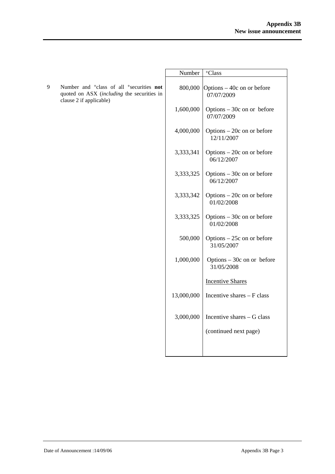|                                                                                                                                                       | Number     | <sup>+</sup> Class                        |
|-------------------------------------------------------------------------------------------------------------------------------------------------------|------------|-------------------------------------------|
| 9<br>Number and <sup>+</sup> class of all <sup>+</sup> securities <b>not</b><br>quoted on ASX (including the securities in<br>clause 2 if applicable) | 800,000    | Options – 40c on or before<br>07/07/2009  |
|                                                                                                                                                       | 1,600,000  | Options $-30c$ on or before<br>07/07/2009 |
|                                                                                                                                                       | 4,000,000  | Options $-20c$ on or before<br>12/11/2007 |
|                                                                                                                                                       | 3,333,341  | Options $-20c$ on or before<br>06/12/2007 |
|                                                                                                                                                       | 3,333,325  | Options $-30c$ on or before<br>06/12/2007 |
|                                                                                                                                                       | 3,333,342  | Options $-20c$ on or before<br>01/02/2008 |
|                                                                                                                                                       | 3,333,325  | Options $-30c$ on or before<br>01/02/2008 |
|                                                                                                                                                       | 500,000    | Options $-25c$ on or before<br>31/05/2007 |
|                                                                                                                                                       | 1,000,000  | Options $-30c$ on or before<br>31/05/2008 |
|                                                                                                                                                       |            | <b>Incentive Shares</b>                   |
|                                                                                                                                                       | 13,000,000 | Incentive shares - F class                |
|                                                                                                                                                       | 3,000,000  | Incentive shares - G class                |
|                                                                                                                                                       |            | (continued next page)                     |
|                                                                                                                                                       |            |                                           |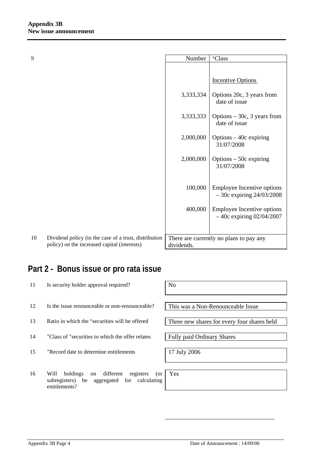| 9  |                                                                                                       | Number     | <sup>+</sup> Class                                         |
|----|-------------------------------------------------------------------------------------------------------|------------|------------------------------------------------------------|
|    |                                                                                                       |            |                                                            |
|    |                                                                                                       |            | <b>Incentive Options</b>                                   |
|    |                                                                                                       | 3,333,334  | Options 20c, 3 years from<br>date of issue                 |
|    |                                                                                                       | 3,333,333  | Options $-30c$ , 3 years from<br>date of issue             |
|    |                                                                                                       | 2,000,000  | Options $-40c$ expiring<br>31/07/2008                      |
|    |                                                                                                       | 2,000,000  | Options $-50c$ expiring<br>31/07/2008                      |
|    |                                                                                                       | 100,000    | Employee Incentive options<br>$-30c$ expiring $24/03/2008$ |
|    |                                                                                                       | 400,000    | Employee Incentive options<br>$-40c$ expiring 02/04/2007   |
|    |                                                                                                       |            |                                                            |
| 10 | Dividend policy (in the case of a trust, distribution<br>policy) on the increased capital (interests) | dividends. | There are currently no plans to pay any                    |

## **Part 2 - Bonus issue or pro rata issue**

| 11 | Is security holder approval required?                                                                                   | N <sub>0</sub>                              |
|----|-------------------------------------------------------------------------------------------------------------------------|---------------------------------------------|
|    |                                                                                                                         |                                             |
| 12 | Is the issue renounceable or non-renounceable?                                                                          | This was a Non-Renounceable Issue           |
|    |                                                                                                                         |                                             |
| 13 | Ratio in which the <sup>+</sup> securities will be offered                                                              | Three new shares for every four shares held |
|    |                                                                                                                         |                                             |
| 14 | <sup>+</sup> Class of <sup>+</sup> securities to which the offer relates                                                | <b>Fully paid Ordinary Shares</b>           |
|    |                                                                                                                         |                                             |
| 15 | <sup>+</sup> Record date to determine entitlements                                                                      | 17 July 2006                                |
|    |                                                                                                                         |                                             |
|    |                                                                                                                         |                                             |
| 16 | different<br>holdings<br>registers<br>Will<br>(or<br>on<br>subregisters) be aggregated for calculating<br>entitlements? | Yes                                         |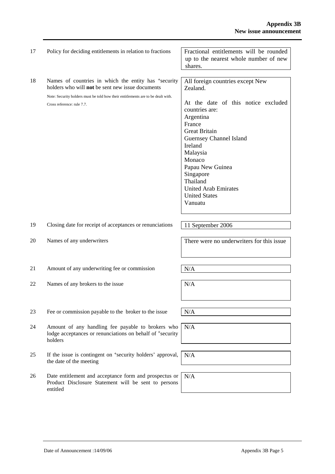| 17 | Policy for deciding entitlements in relation to fractions                                                                                                                                                                              | Fractional entitlements will be rounded<br>up to the nearest whole number of new<br>shares.                                                                                                                                                                                                                                     |
|----|----------------------------------------------------------------------------------------------------------------------------------------------------------------------------------------------------------------------------------------|---------------------------------------------------------------------------------------------------------------------------------------------------------------------------------------------------------------------------------------------------------------------------------------------------------------------------------|
| 18 | Names of countries in which the entity has <sup>+</sup> security<br>holders who will not be sent new issue documents<br>Note: Security holders must be told how their entitlements are to be dealt with.<br>Cross reference: rule 7.7. | All foreign countries except New<br>Zealand.<br>At the date of this notice excluded<br>countries are:<br>Argentina<br>France<br><b>Great Britain</b><br>Guernsey Channel Island<br>Ireland<br>Malaysia<br>Monaco<br>Papau New Guinea<br>Singapore<br>Thailand<br><b>United Arab Emirates</b><br><b>United States</b><br>Vanuatu |
| 19 | Closing date for receipt of acceptances or renunciations                                                                                                                                                                               | 11 September 2006                                                                                                                                                                                                                                                                                                               |
| 20 | Names of any underwriters                                                                                                                                                                                                              | There were no underwriters for this issue                                                                                                                                                                                                                                                                                       |
| 21 | Amount of any underwriting fee or commission                                                                                                                                                                                           | N/A                                                                                                                                                                                                                                                                                                                             |
| 22 | Names of any brokers to the issue                                                                                                                                                                                                      | N/A                                                                                                                                                                                                                                                                                                                             |
| 23 | Fee or commission payable to the broker to the issue                                                                                                                                                                                   | N/A                                                                                                                                                                                                                                                                                                                             |
| 24 | Amount of any handling fee payable to brokers who<br>lodge acceptances or renunciations on behalf of <sup>+</sup> security<br>holders                                                                                                  | N/A                                                                                                                                                                                                                                                                                                                             |
| 25 | If the issue is contingent on <sup>+</sup> security holders' approval,<br>the date of the meeting                                                                                                                                      | N/A                                                                                                                                                                                                                                                                                                                             |
| 26 | Date entitlement and acceptance form and prospectus or<br>Product Disclosure Statement will be sent to persons<br>entitled                                                                                                             | N/A                                                                                                                                                                                                                                                                                                                             |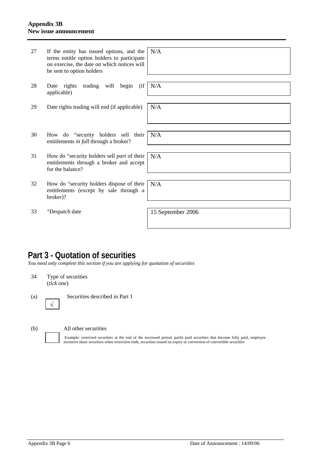#### **Appendix 3B New issue announcement**

| 27 | If the entity has issued options, and the<br>terms entitle option holders to participate<br>on exercise, the date on which notices will<br>be sent to option holders | N/A               |
|----|----------------------------------------------------------------------------------------------------------------------------------------------------------------------|-------------------|
| 28 | Date rights trading will begin<br>(i f)<br>applicable)                                                                                                               | N/A               |
| 29 | Date rights trading will end (if applicable)                                                                                                                         | N/A               |
| 30 | How do <sup>+</sup> security holders sell their<br>entitlements in full through a broker?                                                                            | N/A               |
| 31 | How do <sup>+</sup> security holders sell <i>part</i> of their<br>entitlements through a broker and accept<br>for the balance?                                       | N/A               |
| 32 | How do <sup>+</sup> security holders dispose of their<br>entitlements (except by sale through a<br>broker)?                                                          | N/A               |
| 33 | <sup>+</sup> Despatch date                                                                                                                                           | 15 September 2006 |

## **Part 3 - Quotation of securities**

*You need only complete this section if you are applying for quotation of securities* 

34 Type of securities (*tick one*)

(a) Securities described in Part 1 √

(b) All other securities

Example: restricted securities at the end of the escrowed period, partly paid securities that become fully paid, employee incentive share securities when restriction ends, securities issued on expiry or conversion of convertible securities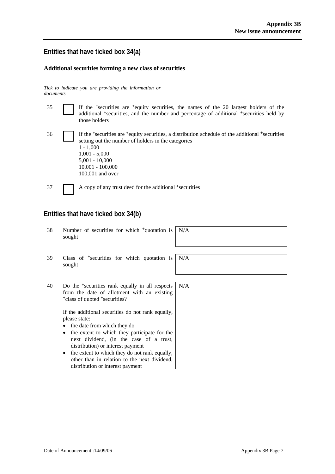#### **Entities that have ticked box 34(a)**

#### **Additional securities forming a new class of securities**

*Tick to indicate you are providing the information or documents*

| 35 | If the <sup>+</sup> securities are <sup>+</sup> equity securities, the names of the 20 largest holders of the<br>additional <sup>+</sup> securities, and the number and percentage of additional <sup>+</sup> securities held by<br>those holders         |
|----|-----------------------------------------------------------------------------------------------------------------------------------------------------------------------------------------------------------------------------------------------------------|
| 36 | If the *securities are *equity securities, a distribution schedule of the additional *securities<br>setting out the number of holders in the categories<br>$1 - 1.000$<br>$1,001 - 5,000$<br>$5,001 - 10,000$<br>$10,001 - 100,000$<br>$100,001$ and over |
| 37 | A copy of any trust deed for the additional <sup>+</sup> securities                                                                                                                                                                                       |

### **Entities that have ticked box 34(b)**

- 38 Number of securities for which +quotation is sought N/A
- 39 Class of +securities for which quotation is sought

N/A

40 Do the +securities rank equally in all respects from the date of allotment with an existing <sup>+</sup>class of quoted +securities? N/A

> If the additional securities do not rank equally, please state:

- the date from which they do
- the extent to which they participate for the next dividend, (in the case of a trust, distribution) or interest payment
- the extent to which they do not rank equally, other than in relation to the next dividend, distribution or interest payment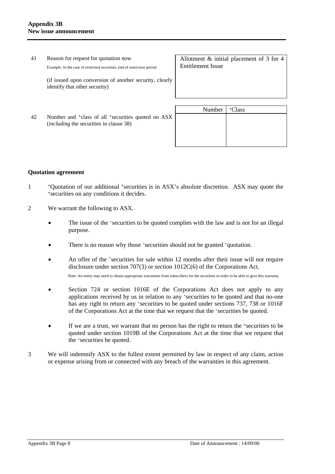| 41 | Reason for request for quotation now<br>Example: In the case of restricted securities, end of restriction period             | Allotment $\&$ initial placement of 3 for 4<br>Entitlement Issue |                    |  |
|----|------------------------------------------------------------------------------------------------------------------------------|------------------------------------------------------------------|--------------------|--|
|    | (if issued upon conversion of another security, clearly<br>identify that other security)                                     |                                                                  |                    |  |
| 42 | Number and <sup>+</sup> class of all <sup>+</sup> securities quoted on ASX<br><i>(including the securities in clause 38)</i> | Number                                                           | <sup>+</sup> Class |  |

#### **Quotation agreement**

- <sup>+</sup>Quotation of our additional <sup>+</sup>securities is in ASX's absolute discretion. ASX may quote the <sup>+</sup>securities on any conditions it decides.
- 2 We warrant the following to ASX.
	- The issue of the +securities to be quoted complies with the law and is not for an illegal purpose.
	- There is no reason why those +securities should not be granted +quotation.
	- An offer of the <sup>+</sup>securities for sale within 12 months after their issue will not require disclosure under section 707(3) or section 1012C(6) of the Corporations Act. Note: An entity may need to obtain appropriate warranties from subscribers for the securities in order to be able to give this warranty
		-
	- Section 724 or section 1016E of the Corporations Act does not apply to any applications received by us in relation to any +securities to be quoted and that no-one has any right to return any +securities to be quoted under sections 737, 738 or 1016F of the Corporations Act at the time that we request that the +securities be quoted.
	- If we are a trust, we warrant that no person has the right to return the +securities to be quoted under section 1019B of the Corporations Act at the time that we request that the +securities be quoted.
- 3 We will indemnify ASX to the fullest extent permitted by law in respect of any claim, action or expense arising from or connected with any breach of the warranties in this agreement.